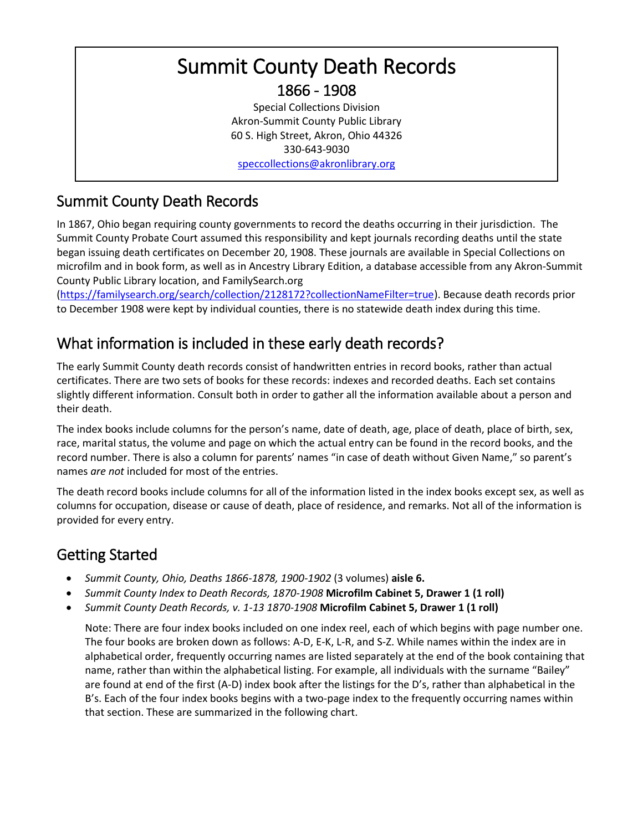# Summit County Death Records 1866 - 1908

Special Collections Division Akron-Summit County Public Library 60 S. High Street, Akron, Ohio 44326 330-643-9030 [speccollections@akronlibrary.org](mailto:speccollections@akronlibrary.org)

# Summit County Death Records

In 1867, Ohio began requiring county governments to record the deaths occurring in their jurisdiction. The Summit County Probate Court assumed this responsibility and kept journals recording deaths until the state began issuing death certificates on December 20, 1908. These journals are available in Special Collections on microfilm and in book form, as well as in Ancestry Library Edition, a database accessible from any Akron-Summit County Public Library location, and FamilySearch.org

[\(https://familysearch.org/search/collection/2128172?collectionNameFilter=true\)](https://familysearch.org/search/collection/2128172?collectionNameFilter=true). Because death records prior to December 1908 were kept by individual counties, there is no statewide death index during this time.

### What information is included in these early death records?

The early Summit County death records consist of handwritten entries in record books, rather than actual certificates. There are two sets of books for these records: indexes and recorded deaths. Each set contains slightly different information. Consult both in order to gather all the information available about a person and their death.

The index books include columns for the person's name, date of death, age, place of death, place of birth, sex, race, marital status, the volume and page on which the actual entry can be found in the record books, and the record number. There is also a column for parents' names "in case of death without Given Name," so parent's names *are not* included for most of the entries.

The death record books include columns for all of the information listed in the index books except sex, as well as columns for occupation, disease or cause of death, place of residence, and remarks. Not all of the information is provided for every entry.

# Getting Started

- *Summit County, Ohio, Deaths 1866-1878, 1900-1902* (3 volumes) **aisle 6.**
- *Summit County Index to Death Records, 1870-1908* **Microfilm Cabinet 5, Drawer 1 (1 roll)**
- *Summit County Death Records, v. 1-13 1870-1908* **Microfilm Cabinet 5, Drawer 1 (1 roll)**

Note: There are four index books included on one index reel, each of which begins with page number one. The four books are broken down as follows: A-D, E-K, L-R, and S-Z. While names within the index are in alphabetical order, frequently occurring names are listed separately at the end of the book containing that name, rather than within the alphabetical listing. For example, all individuals with the surname "Bailey" are found at end of the first (A-D) index book after the listings for the D's, rather than alphabetical in the B's. Each of the four index books begins with a two-page index to the frequently occurring names within that section. These are summarized in the following chart.